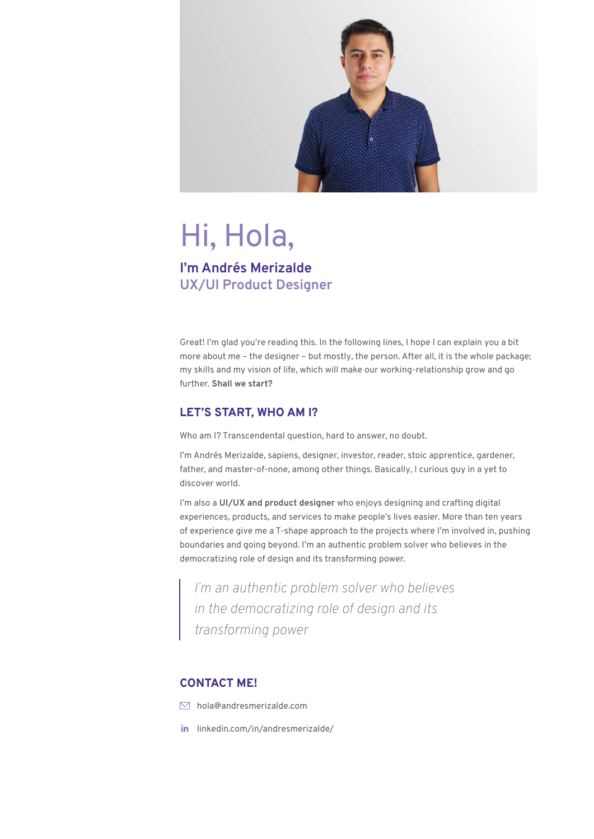

# Hi, Hola,

# **I'm Andrés Merizalde UX/UI Product Designer**

Great! I'm glad you're reading this. In the following lines, I hope I can explain you a bit more about me – the designer – but mostly, the person. After all, it is the whole package; my skills and my vision of life, which will make our working-relationship grow and go further. **Shall we start?**

# **LET'S START, WHO AM I?**

Who am I? Transcendental question, hard to answer, no doubt.

I'm Andrés Merizalde, sapiens, designer, investor, reader, stoic apprentice, gardener, father, and master-of-none, among other things. Basically, I curious guy in a yet to discover world.

I'm also a **UI/UX and product designer** who enjoys designing and crafting digital experiences, products, and services to make people's lives easier. More than ten years of experience give me a T-shape approach to the projects where I'm involved in, pushing boundaries and going beyond. I'm an authentic problem solver who believes in the democratizing role of design and its transforming power.

*I'm an authentic problem solver who believes in the democratizing role of design and its transforming power* 

# **CONTACT ME!**

- $\nabla$  hola@andresmerizalde.com
- in linkedin.com/in/andresmerizalde/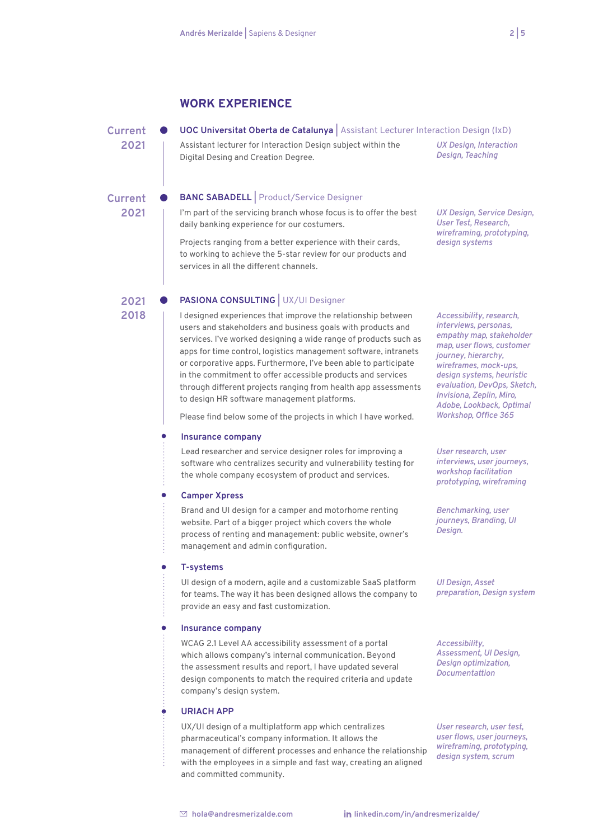# **WORK EXPERIENCE**

**Current UOC Universitat Oberta de Catalunya |** Assistant Lecturer Interaction Design (IxD)

**2021**

**2021**

**2021**

**2018**

Assistant lecturer for Interaction Design subject within the

Digital Desing and Creation Degree.

#### **Current BANC SABADELL |** Product/Service Designer

I'm part of the servicing branch whose focus is to offer the best daily banking experience for our costumers.

Projects ranging from a better experience with their cards, to working to achieve the 5-star review for our products and services in all the different channels.

**PASIONA CONSULTING** UX/UI Designer

I designed experiences that improve the relationship between users and stakeholders and business goals with products and services. I've worked designing a wide range of products such as apps for time control, logistics management software, intranets or corporative apps. Furthermore, I've been able to participate in the commitment to offer accessible products and services through different projects ranging from health app assessments to design HR software management platforms.

Please find below some of the projects in which I have worked.

#### **Insurance company**

Lead researcher and service designer roles for improving a software who centralizes security and vulnerability testing for the whole company ecosystem of product and services.

#### **Camper Xpress**

Brand and UI design for a camper and motorhome renting website. Part of a bigger project which covers the whole process of renting and management: public website, owner's management and admin configuration.

#### **T-systems**

Ä

ò

UI design of a modern, agile and a customizable SaaS platform for teams. The way it has been designed allows the company to provide an easy and fast customization.

#### **Insurance company**

WCAG 2.1 Level AA accessibility assessment of a portal which allows company's internal communication. Beyond the assessment results and report, I have updated several design components to match the required criteria and update company's design system.

#### **URIACH APP**

UX/UI design of a multiplatform app which centralizes pharmaceutical's company information. It allows the management of different processes and enhance the relationship with the employees in a simple and fast way, creating an aligned and committed community.

*UX Design, Interaction Design, Teaching*

*UX Design, Service Design, User Test, Research, wireframing, prototyping, design systems*

*Accessibility, research, interviews, personas, empathy map, stakeholder map, user flows, customer journey, hierarchy, wireframes, mock-ups, design systems, heuristic evaluation, DevOps, Sketch, Invisiona, Zeplin, Miro, Adobe, Lookback, Optimal Workshop, Office 365* 

*User research, user interviews, user journeys, workshop facilitation prototyping, wireframing*

*Benchmarking, user journeys, Branding, UI Design.*

*UI Design, Asset preparation, Design system*

*Accessibility, Assessment, UI Design, Design optimization, Documentattion*

*User research, user test, user flows, user journeys, wireframing, prototyping, design system, scrum*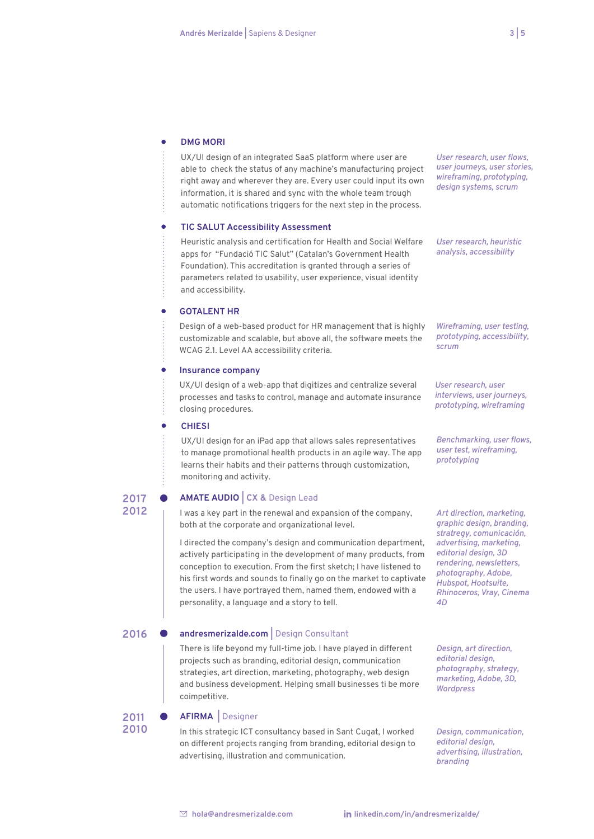#### **DMG MORI**   $\bullet$

UX/UI design of an integrated SaaS platform where user are able to check the status of any machine's manufacturing project right away and wherever they are. Every user could input its own information, it is shared and sync with the whole team trough automatic notifications triggers for the next step in the process.

#### **TIC SALUT Accessibility Assessment**

Heuristic analysis and certification for Health and Social Welfare apps for "Fundació TIC Salut" (Catalan's Government Health Foundation). This accreditation is granted through a series of parameters related to usability, user experience, visual identity and accessibility.

#### **GOTAL FNT HR**

Design of a web-based product for HR management that is highly customizable and scalable, but above all, the software meets the WCAG 2.1. Level AA accessibility criteria.

#### **Insurance company**

UX/UI design of a web-app that digitizes and centralize several processes and tasks to control, manage and automate insurance closing procedures.

#### **CHIESI**

**2017 2012** UX/UI design for an iPad app that allows sales representatives to manage promotional health products in an agile way. The app learns their habits and their patterns through customization, monitoring and activity.

#### **AMATE AUDIO | CX &** Design Lead

I was a key part in the renewal and expansion of the company, both at the corporate and organizational level.

I directed the company's design and communication department, actively participating in the development of many products, from conception to execution. From the first sketch; I have listened to his first words and sounds to finally go on the market to captivate the users. I have portrayed them, named them, endowed with a personality, a language and a story to tell.

### 2016 **•** andresmerizalde.com | Design Consultant

There is life beyond my full-time job. I have played in different projects such as branding, editorial design, communication strategies, art direction, marketing, photography, web design and business development. Helping small businesses ti be more coimpetitive.

# **2011 ● AFIRMA** Designer<br>2010 **b** the strategic ICTs

**2010** In this strategic ICT consultancy based in Sant Cugat, I worked on different projects ranging from branding, editorial design to advertising, illustration and communication.

*User research, user flows, user journeys, user stories, wireframing, prototyping, design systems, scrum*

*User research, heuristic analysis, accessibility*

*Wireframing, user testing, prototyping, accessibility, scrum*

*User research, user interviews, user journeys, prototyping, wireframing*

*Benchmarking, user flows, user test, wireframing, prototyping*

*Art direction, marketing, graphic design, branding, stratregy, comunicación, advertising, marketing, editorial design, 3D rendering, newsletters, photography, Adobe, Hubspot, Hootsuite, Rhinoceros, Vray, Cinema 4D*

*Design, art direction, editorial design, photography, strategy, marketing, Adobe, 3D, Wordpress*

*Design, communication, editorial design, advertising, illustration, branding*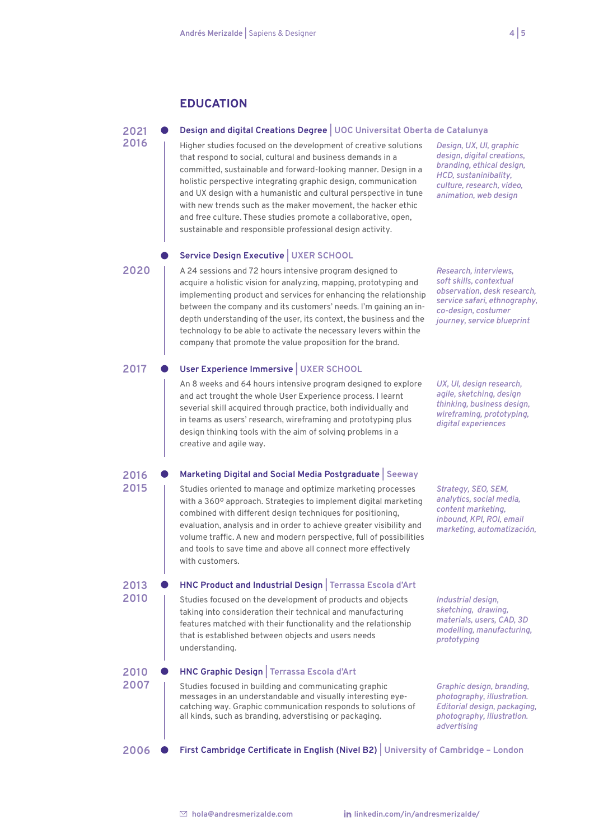# **EDUCATION**

#### **2021 Design and digital Creations Degree | UOC Universitat Oberta de Catalunya**

Higher studies focused on the development of creative solutions that respond to social, cultural and business demands in a committed, sustainable and forward-looking manner. Design in a holistic perspective integrating graphic design, communication and UX design with a humanistic and cultural perspective in tune with new trends such as the maker movement, the hacker ethic and free culture. These studies promote a collaborative, open, sustainable and responsible professional design activity.

# **Service Design Executive | UXER SCHOOL**

*Design, UX, UI, graphic design, digital creations, branding, ethical design, HCD, sustaninibality, culture, research, video, animation, web design*

*Research, interviews, soft skills, contextual observation, desk research, service safari, ethnography, co-design, costumer journey, service blueprint*

**2020**

**2016**

**2015**

**2013 2010**

A 24 sessions and 72 hours intensive program designed to acquire a holistic vision for analyzing, mapping, prototyping and implementing product and services for enhancing the relationship between the company and its customers' needs. I'm gaining an indepth understanding of the user, its context, the business and the technology to be able to activate the necessary levers within the company that promote the value proposition for the brand.

#### **2017 User Experience Immersive | UXER SCHOOL**

An 8 weeks and 64 hours intensive program designed to explore and act trought the whole User Experience process. I learnt severial skill acquired through practice, both individually and in teams as users' research, wireframing and prototyping plus design thinking tools with the aim of solving problems in a creative and agile way.

#### **2016 Marketing Digital and Social Media Postgraduate | Seeway**

Studies oriented to manage and optimize marketing processes with a 360º approach. Strategies to implement digital marketing combined with different design techniques for positioning, evaluation, analysis and in order to achieve greater visibility and volume traffic. A new and modern perspective, full of possibilities and tools to save time and above all connect more effectively with customers.

**HNC Product and Industrial Design | Terrassa Escola d'Art** Studies focused on the development of products and objects taking into consideration their technical and manufacturing features matched with their functionality and the relationship

*Strategy, SEO, SEM, analytics, social media, content marketing, inbound, KPI, ROI, email marketing, automatización,*

*UX, UI, design research, agile, sketching, design thinking, business design, wireframing, prototyping, digital experiences*

*Industrial design, sketching, drawing, materials, users, CAD, 3D modelling, manufacturing, prototyping*

#### **2010 HNC Graphic Design | Terrassa Escola d'Art** 2007 | Studies focused in building and communicating graphic messages in an understandable and visually interesting eyecatching way. Graphic communication responds to solutions of all kinds, such as branding, adverstising or packaging. *Graphic design, branding, photography, illustration. Editorial design, packaging, photography, illustration. advertising*

that is established between objects and users needs

**2006 First Cambridge Certificate in English (Nivel B2) | University of Cambridge – London**

understanding.